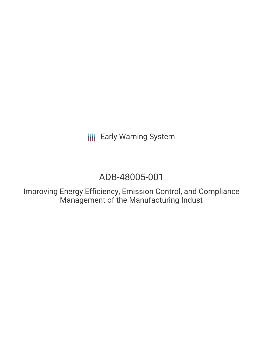**III** Early Warning System

### ADB-48005-001

Improving Energy Efficiency, Emission Control, and Compliance Management of the Manufacturing Indust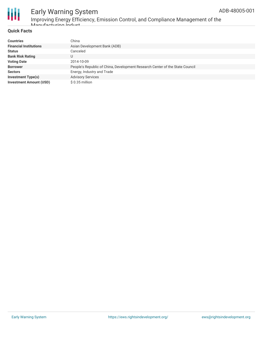

# Early Warning System

Improving Energy Efficiency, Emission Control, and Compliance Management of the Manufacturing Indust

#### **Quick Facts**

| <b>Countries</b>               | China                                                                        |
|--------------------------------|------------------------------------------------------------------------------|
| <b>Financial Institutions</b>  | Asian Development Bank (ADB)                                                 |
| <b>Status</b>                  | Canceled                                                                     |
| <b>Bank Risk Rating</b>        | U                                                                            |
| <b>Voting Date</b>             | 2014-10-09                                                                   |
| <b>Borrower</b>                | People's Republic of China, Development Research Center of the State Council |
| <b>Sectors</b>                 | Energy, Industry and Trade                                                   |
| <b>Investment Type(s)</b>      | <b>Advisory Services</b>                                                     |
| <b>Investment Amount (USD)</b> | $$0.35$ million                                                              |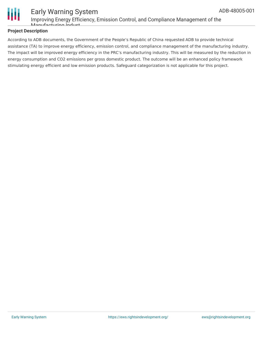

#### Early Warning System Improving Energy Efficiency, Emission Control, and Compliance Management of the Manufacturing Indust

#### **Project Description**

According to ADB documents, the Government of the People's Republic of China requested ADB to provide technical assistance (TA) to improve energy efficiency, emission control, and compliance management of the manufacturing industry. The impact will be improved energy efficiency in the PRC's manufacturing industry. This will be measured by the reduction in energy consumption and CO2 emissions per gross domestic product. The outcome will be an enhanced policy framework stimulating energy efficient and low emission products. Safeguard categorization is not applicable for this project.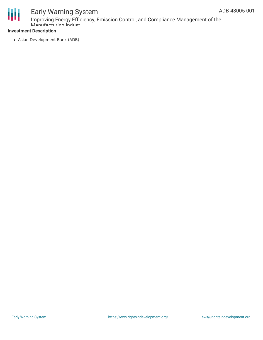

# Early Warning System

Improving Energy Efficiency, Emission Control, and Compliance Management of the Manufacturing Indust

#### **Investment Description**

Asian Development Bank (ADB)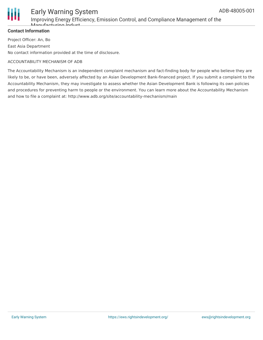

#### Early Warning System Improving Energy Efficiency, Emission Control, and Compliance Management of the Manufacturing Indust

#### **Contact Information**

Project Officer: An, Bo East Asia Department No contact information provided at the time of disclosure.

#### ACCOUNTABILITY MECHANISM OF ADB

The Accountability Mechanism is an independent complaint mechanism and fact-finding body for people who believe they are likely to be, or have been, adversely affected by an Asian Development Bank-financed project. If you submit a complaint to the Accountability Mechanism, they may investigate to assess whether the Asian Development Bank is following its own policies and procedures for preventing harm to people or the environment. You can learn more about the Accountability Mechanism and how to file a complaint at: http://www.adb.org/site/accountability-mechanism/main